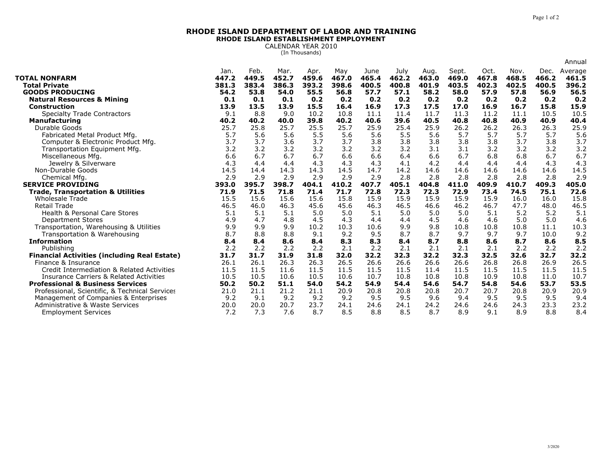## **RHODE ISLAND DEPARTMENT OF LABOR AND TRAININGRHODE ISLAND ESTABLISHMENT EMPLOYMENT**

CALENDAR YEAR 2010 (In Thousands)

|                                                               |               |               |               |               |               |               |               |               |                |               |               |               | Annual           |
|---------------------------------------------------------------|---------------|---------------|---------------|---------------|---------------|---------------|---------------|---------------|----------------|---------------|---------------|---------------|------------------|
| <b>TOTAL NONFARM</b>                                          | Jan.<br>447.2 | Feb.<br>449.5 | Mar.<br>452.7 | Apr.<br>459.6 | May<br>467.0  | June<br>465.4 | July<br>462.2 | Aug.<br>463.0 | Sept.<br>469.0 | Oct.<br>467.8 | Nov.<br>468.5 | Dec.<br>466.2 | Average<br>461.5 |
| <b>Total Private</b><br><b>GOODS PRODUCING</b>                | 381.3<br>54.2 | 383.4<br>53.8 | 386.3<br>54.0 | 393.2<br>55.5 | 398.6<br>56.8 | 400.5<br>57.7 | 400.8<br>57.1 | 401.9<br>58.2 | 403.5<br>58.0  | 402.3<br>57.9 | 402.5<br>57.8 | 400.5<br>56.9 | 396.2<br>56.5    |
| <b>Natural Resources &amp; Mining</b>                         | 0.1           | 0.1           | 0.1           | 0.2           | 0.2           | 0.2           | 0.2           | 0.2           | 0.2            | 0.2           | 0.2           | 0.2           | 0.2              |
| <b>Construction</b>                                           | 13.9          | 13.5          | 13.9          | 15.5          | 16.4          | 16.9          | 17.3          | 17.5          | 17.0           | 16.9          | 16.7          | 15.8          | 15.9             |
| <b>Specialty Trade Contractors</b>                            | 9.1           | 8.8           | 9.0           | 10.2          | 10.8          | 11.1          | 11.4          | 11.7          | 11.3           | 11.2          | 11.1          | 10.5          | 10.5             |
| <b>Manufacturing</b>                                          | 40.2          | 40.2          | 40.0          | 39.8          | 40.2          | 40.6          | 39.6          | 40.5          | 40.8           | 40.8          | 40.9          | 40.9          | 40.4             |
| Durable Goods                                                 | 25.7          | 25.8          | 25.7          | 25.5          | 25.7          | 25.9          | 25.4          | 25.9          | 26.2           | 26.2          | 26.3          | 26.3          | 25.9             |
| Fabricated Metal Product Mfg.                                 | 5.7           | 5.6           | 5.6           | 5.5           | 5.6           | 5.6           | 5.5           | 5.6           | 5.7            | 5.7           | 5.7           | 5.7           | 5.6              |
| Computer & Electronic Product Mfg.                            | 3.7           | 3.7           | 3.6           | 3.7           | 3.7           | 3.8           | 3.8           | 3.8           | 3.8            | 3.8           | 3.7           | 3.8           | 3.7              |
| Transportation Equipment Mfg.                                 | 3.2           | 3.2           | 3.2           | 3.2           | 3.2           | 3.2           | 3.2           | 3.1           | 3.1            | 3.2           | 3.2           | 3.2           | 3.2              |
| Miscellaneous Mfg.                                            | 6.6           | 6.7           | 6.7           | 6.7           | 6.6           | 6.6           | 6.4           | 6.6           | 6.7            | 6.8           | 6.8           | 6.7           | 6.7              |
| Jewelry & Silverware                                          | 4.3           | 4.4           | 4.4           | 4.3           | 4.3           | 4.3           | 4.1           | 4.2           | 4.4            | 4.4           | 4.4           | 4.3           | 4.3              |
| Non-Durable Goods                                             | 14.5          | 14.4          | 14.3          | 14.3          | 14.5          | 14.7          | 14.2          | 14.6          | 14.6           | 14.6          | 14.6          | 14.6          | 14.5             |
| Chemical Mfg.                                                 | 2.9           | 2.9           | 2.9           | 2.9           | 2.9           | 2.9           | 2.8           | 2.8           | 2.8            | 2.8           | 2.8           | 2.8           | 2.9              |
| <b>SERVICE PROVIDING</b>                                      | 393.0         | 395.7         | 398.7         | 404.1         | 410.2         | 407.7         | 405.1         | 404.8         | 411.0          | 409.9         | 410.7         | 409.3         | 405.0            |
| <b>Trade, Transportation &amp; Utilities</b>                  | 71.9          | 71.5          | 71.8          | 71.4          | 71.7          | 72.8          | 72.3          | 72.3          | 72.9           | 73.4          | 74.5          | 75.1          | 72.6             |
| <b>Wholesale Trade</b>                                        | 15.5          | 15.6          | 15.6          | 15.6          | 15.8          | 15.9          | 15.9          | 15.9          | 15.9           | 15.9          | 16.0          | 16.0          | 15.8             |
| <b>Retail Trade</b>                                           | 46.5          | 46.0          | 46.3          | 45.6          | 45.6          | 46.3          | 46.5          | 46.6          | 46.2           | 46.7          | 47.7          | 48.0          | 46.5             |
|                                                               |               |               |               |               |               |               |               |               |                |               |               |               |                  |
| Health & Personal Care Stores                                 | 5.1           | 5.1           | 5.1           | 5.0           | 5.0           | 5.1           | 5.0           | 5.0           | 5.0            | 5.1           | 5.2           | 5.2           | 5.1              |
| <b>Department Stores</b>                                      | 4.9           | 4.7           | 4.8           | 4.5           | 4.3           | 4.4           | 4.4           | 4.5           | 4.6            | 4.6           | 5.0           | 5.0           | 4.6              |
| Transportation, Warehousing & Utilities                       | 9.9           | 9.9           | 9.9           | 10.2          | 10.3          | 10.6          | 9.9           | 9.8           | 10.8           | 10.8          | 10.8          | 11.1          | 10.3             |
| Transportation & Warehousing                                  | 8.7           | 8.8           | 8.8           | 9.1           | 9.2           | 9.5           | 8.7           | 8.7           | 9.7            | 9.7           | 9.7           | 10.0          | 9.2              |
| <b>Information</b>                                            | 8.4           | 8.4           | 8.6           | 8.4           | 8.3           | 8.3           | 8.4           | 8.7           | 8.8            | 8.6           | 8.7           | 8.6           | 8.5              |
| Publishing                                                    | 2.2           | 2.2           | 2.2           | 2.2           | 2.1           | 2.2           | 2.1           | 2.1           | 2.1            | 2.1           | 2.2           | 2.2           | 2.2              |
| <b>Financial Activities (including Real Estate)</b>           | 31.7          | 31.7          | 31.9          | 31.8          | 32.0          | 32.2          | 32.3          | 32.2          | 32.3           | 32.5          | 32.6          | 32.7          | 32.2             |
| Finance & Insurance                                           | 26.1          | 26.1          | 26.3          | 26.3          | 26.5          | 26.6          | 26.6          | 26.6          | 26.6           | 26.8          | 26.8          | 26.9          | 26.5             |
| Credit Intermediation & Related Activities                    | 11.5          | 11.5          | 11.6          | 11.5          | 11.5          | 11.5          | 11.5          | 11.4          | 11.5           | 11.5          | 11.5          | 11.5          | 11.5             |
| <b>Insurance Carriers &amp; Related Activities</b>            | 10.5          | 10.5          | 10.6          | 10.5          | 10.6          | 10.7          | 10.8          | 10.8          | 10.8           | 10.9          | 10.8          | 11.0          | 10.7             |
| <b>Professional &amp; Business Services</b>                   | 50.2          | 50.2          | 51.1          | 54.0          | 54.2          | 54.9          | 54.4          | 54.6          | 54.7           | 54.8          | 54.6          | 53.7          | 53.5             |
| Professional, Scientific, & Technical Services                | 21.0          | 21.1          | 21.2          | 21.1          | 20.9          | 20.8          | 20.8          | 20.8          | 20.7           | 20.7          | 20.8          | 20.9          | 20.9             |
| Management of Companies & Enterprises                         | 9.2           | 9.1           | 9.2           | 9.2           | 9.2           | 9.5           | 9.5           | 9.6           | 9.4            | 9.5           | 9.5           | 9.5           | 9.4              |
| Administrative & Waste Services<br><b>Employment Services</b> | 20.0<br>7.2   | 20.0<br>7.3   | 20.7<br>7.6   | 23.7<br>8.7   | 24.1<br>8.5   | 24.6<br>8.8   | 24.1<br>8.5   | 24.2<br>8.7   | 24.6<br>8.9    | 24.6<br>9.1   | 24.3<br>8.9   | 23.3<br>8.8   | 23.2<br>8,4      |